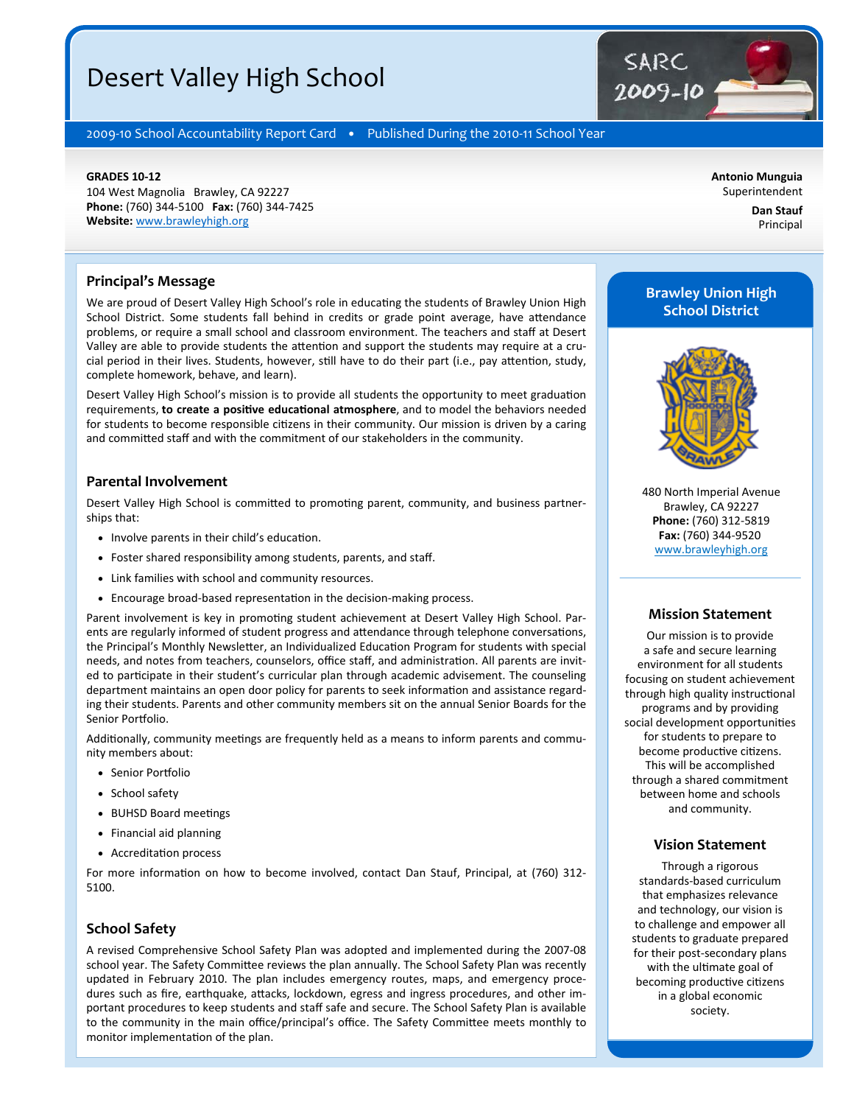## Desert Valley High School

2009-10 School Accountability Report Card • Published During the 2010-11 School Year

#### **GRADES 10‐12**

104 West Magnolia Brawley, CA 92227 **Phone:** (760) 344‐5100 **Fax:** (760) 344‐7425 **Website:** www.brawleyhigh.org

**Antonio Munguia**  Superintendent

> **Dan Stauf**  Principal

#### **Principal's Message**

We are proud of Desert Valley High School's role in educating the students of Brawley Union High School District. Some students fall behind in credits or grade point average, have attendance problems, or require a small school and classroom environment. The teachers and staff at Desert Valley are able to provide students the attention and support the students may require at a crucial period in their lives. Students, however, still have to do their part (i.e., pay attention, study, complete homework, behave, and learn).

Desert Valley High School's mission is to provide all students the opportunity to meet graduation requirements, **to create a positive educational atmosphere**, and to model the behaviors needed for students to become responsible citizens in their community. Our mission is driven by a caring and committed staff and with the commitment of our stakeholders in the community.

#### **Parental Involvement**

Desert Valley High School is committed to promoting parent, community, and business partnerships that:

- Involve parents in their child's education.
- Foster shared responsibility among students, parents, and staff.
- Link families with school and community resources.
- Encourage broad-based representation in the decision-making process.

Parent involvement is key in promoting student achievement at Desert Valley High School. Parents are regularly informed of student progress and attendance through telephone conversations, the Principal's Monthly Newsletter, an Individualized Education Program for students with special needs, and notes from teachers, counselors, office staff, and administration. All parents are invited to participate in their student's curricular plan through academic advisement. The counseling department maintains an open door policy for parents to seek information and assistance regarding their students. Parents and other community members sit on the annual Senior Boards for the Senior Portfolio.

Additionally, community meetings are frequently held as a means to inform parents and community members about:

- Senior Portfolio
- School safety
- BUHSD Board meetings
- Financial aid planning
- Accreditation process

For more information on how to become involved, contact Dan Stauf, Principal, at (760) 312-5100.

#### **School Safety**

A revised Comprehensive School Safety Plan was adopted and implemented during the 2007‐08 school year. The Safety Committee reviews the plan annually. The School Safety Plan was recently updated in February 2010. The plan includes emergency routes, maps, and emergency proce‐ dures such as fire, earthquake, attacks, lockdown, egress and ingress procedures, and other important procedures to keep students and staff safe and secure. The School Safety Plan is available to the community in the main office/principal's office. The Safety Committee meets monthly to monitor implementation of the plan.

## **Brawley Union High School District**

SARC

2009-10



480 North Imperial Avenue Brawley, CA 92227 **Phone:** (760) 312‐5819 **Fax:** (760) 344‐9520 www.brawleyhigh.org

#### **Mission Statement**

Our mission is to provide a safe and secure learning environment for all students focusing on student achievement through high quality instructional programs and by providing social development opportunities for students to prepare to become productive citizens. This will be accomplished through a shared commitment between home and schools and community.

#### **Vision Statement**

Through a rigorous standards‐based curriculum that emphasizes relevance and technology, our vision is to challenge and empower all students to graduate prepared for their post‐secondary plans with the ultimate goal of becoming productive citizens in a global economic society.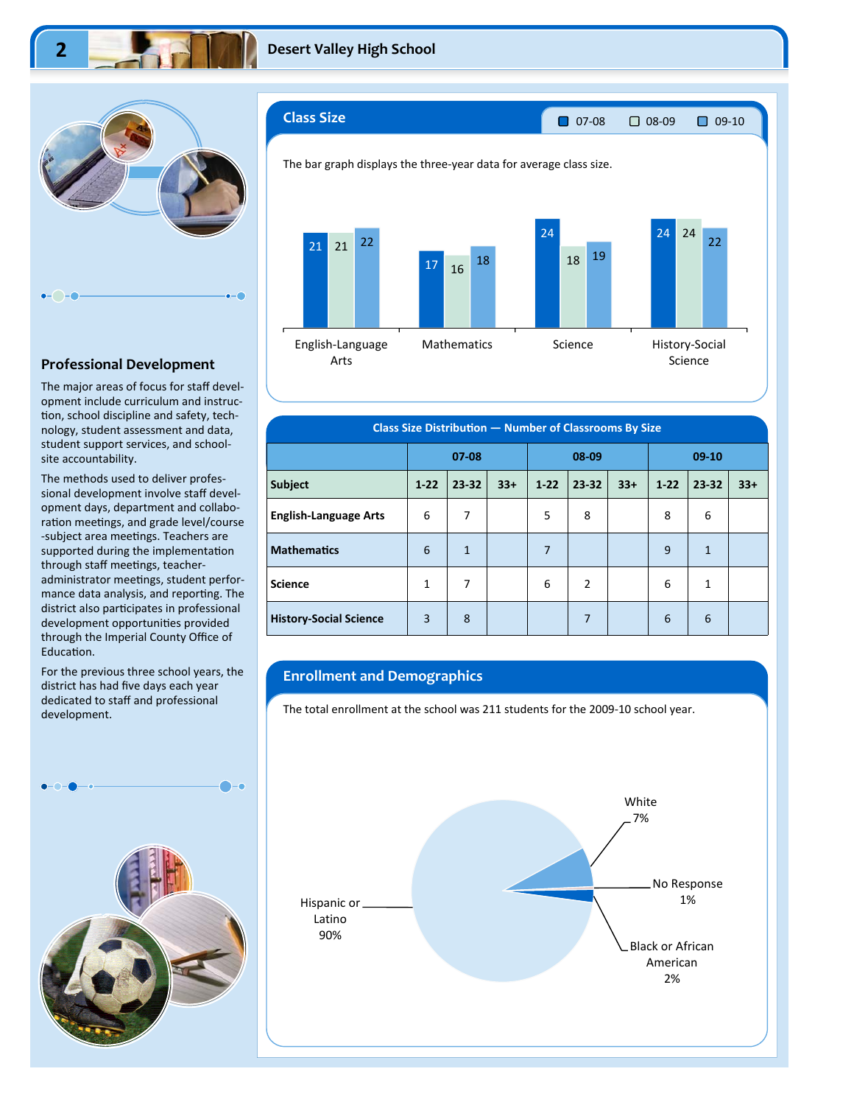

#### **Professional Development**

The major areas of focus for staff devel‐ opment include curriculum and instruc‐ tion, school discipline and safety, technology, student assessment and data, student support services, and school‐ site accountability.

The methods used to deliver profes‐ sional development involve staff devel‐ opment days, department and collabo‐ ration meetings, and grade level/course -subject area meetings. Teachers are supported during the implementation through staff meetings, teacheradministrator meetings, student performance data analysis, and reporting. The district also participates in professional development opportunities provided through the Imperial County Office of Education.

For the previous three school years, the district has had five days each year dedicated to staff and professional development.





| Class Size Distribution - Number of Classrooms By Size |              |                |       |          |                |       |          |              |       |
|--------------------------------------------------------|--------------|----------------|-------|----------|----------------|-------|----------|--------------|-------|
|                                                        | $07 - 08$    |                |       | 08-09    |                |       | $09-10$  |              |       |
| <b>Subject</b>                                         | $1 - 22$     | 23-32          | $33+$ | $1 - 22$ | $23 - 32$      | $33+$ | $1 - 22$ | 23-32        | $33+$ |
| <b>English-Language Arts</b>                           | 6            | 7              |       | 5        | 8              |       | 8        | 6            |       |
| <b>Mathematics</b>                                     | 6            | $\overline{1}$ |       | 7        |                |       | 9        | $\mathbf{1}$ |       |
| <b>Science</b>                                         | $\mathbf{1}$ | 7              |       | 6        | $\overline{2}$ |       | 6        | 1            |       |
| <b>History-Social Science</b>                          | 3            | 8              |       |          | $\overline{7}$ |       | 6        | 6            |       |

#### **Enrollment and Demographics**

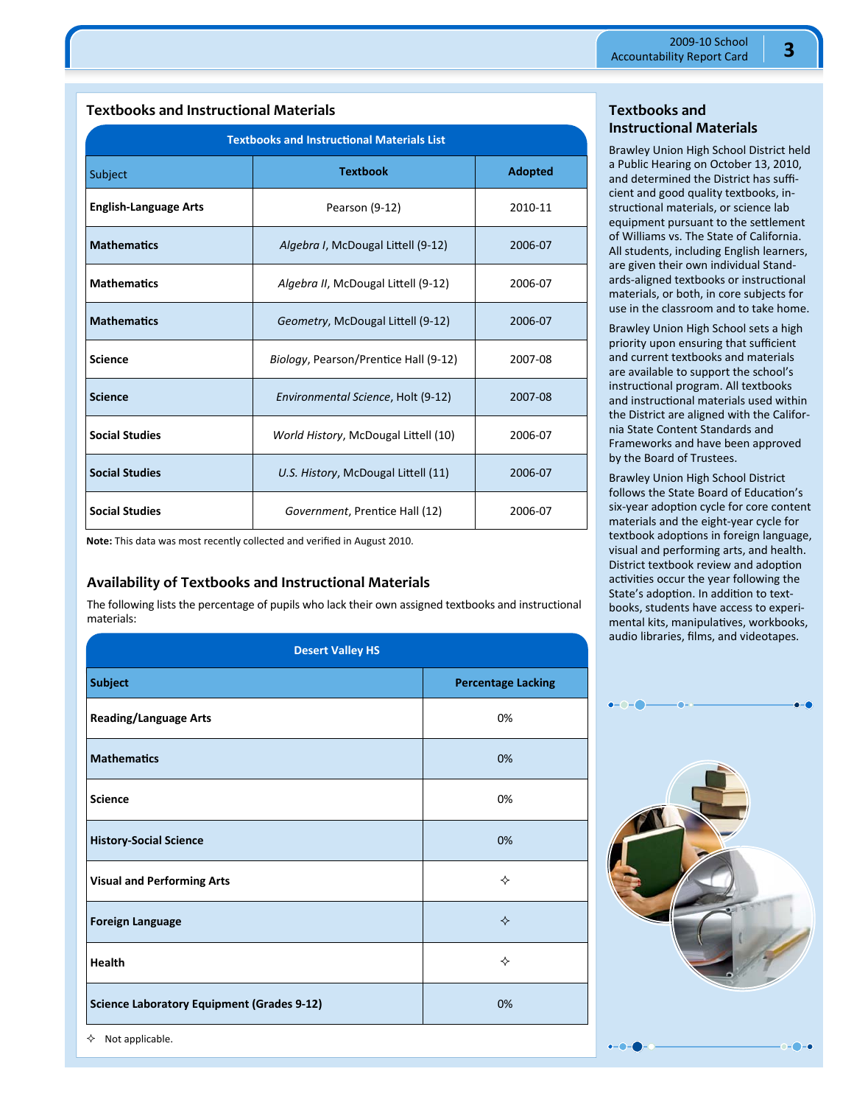| <b>Textbooks and Instructional Materials List</b> |                                       |         |  |  |  |  |
|---------------------------------------------------|---------------------------------------|---------|--|--|--|--|
| Subject                                           | <b>Textbook</b><br><b>Adopted</b>     |         |  |  |  |  |
| <b>English-Language Arts</b>                      | Pearson (9-12)                        | 2010-11 |  |  |  |  |
| <b>Mathematics</b>                                | Algebra I, McDougal Littell (9-12)    | 2006-07 |  |  |  |  |
| <b>Mathematics</b>                                | Algebra II, McDougal Littell (9-12)   | 2006-07 |  |  |  |  |
| <b>Mathematics</b>                                | Geometry, McDougal Littell (9-12)     | 2006-07 |  |  |  |  |
| <b>Science</b>                                    | Biology, Pearson/Prentice Hall (9-12) | 2007-08 |  |  |  |  |
| <b>Science</b>                                    | Environmental Science, Holt (9-12)    | 2007-08 |  |  |  |  |
| <b>Social Studies</b>                             | World History, McDougal Littell (10)  | 2006-07 |  |  |  |  |
| <b>Social Studies</b>                             | U.S. History, McDougal Littell (11)   | 2006-07 |  |  |  |  |
| <b>Social Studies</b>                             | Government, Prentice Hall (12)        | 2006-07 |  |  |  |  |

## **Textbooks and Instructional Materials**

**Note:** This data was most recently collected and verified in August 2010.

## **Availability of Textbooks and Instructional Materials**

The following lists the percentage of pupils who lack their own assigned textbooks and instructional materials:

| <b>Desert Valley HS</b>                           |                           |  |  |  |
|---------------------------------------------------|---------------------------|--|--|--|
| <b>Subject</b>                                    | <b>Percentage Lacking</b> |  |  |  |
| <b>Reading/Language Arts</b>                      | 0%                        |  |  |  |
| <b>Mathematics</b>                                | 0%                        |  |  |  |
| <b>Science</b>                                    | 0%                        |  |  |  |
| <b>History-Social Science</b>                     | 0%                        |  |  |  |
| <b>Visual and Performing Arts</b>                 | ❖                         |  |  |  |
| <b>Foreign Language</b>                           | ✧                         |  |  |  |
| <b>Health</b>                                     | ♦                         |  |  |  |
| <b>Science Laboratory Equipment (Grades 9-12)</b> | 0%                        |  |  |  |

**Textbooks and Instructional Materials** 

Brawley Union High School District held a Public Hearing on October 13, 2010, and determined the District has suffi‐ cient and good quality textbooks, in‐ structional materials, or science lab equipment pursuant to the settlement of Williams vs. The State of California. All students, including English learners, are given their own individual Stand‐ ards-aligned textbooks or instructional materials, or both, in core subjects for use in the classroom and to take home.

Brawley Union High School sets a high priority upon ensuring that sufficient and current textbooks and materials are available to support the school's instructional program. All textbooks and instructional materials used within the District are aligned with the Califor‐ nia State Content Standards and Frameworks and have been approved by the Board of Trustees.

Brawley Union High School District follows the State Board of Education's six-year adoption cycle for core content materials and the eight‐year cycle for textbook adoptions in foreign language, visual and performing arts, and health. District textbook review and adoption activities occur the year following the State's adoption. In addition to textbooks, students have access to experi‐ mental kits, manipulatives, workbooks, audio libraries, films, and videotapes.



 $\lozenge$  Not applicable.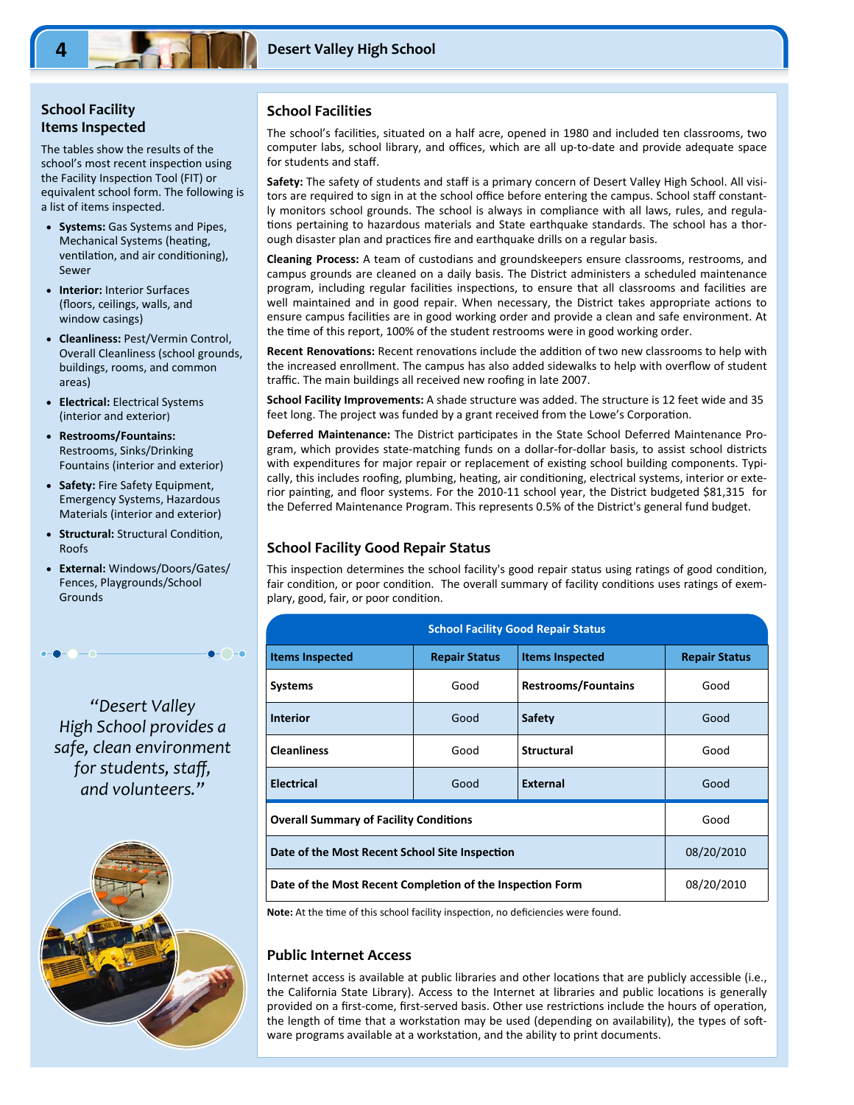#### **School Facility Items Inspected**

The tables show the results of the school's most recent inspection using the Facility Inspection Tool (FIT) or equivalent school form. The following is a list of items inspected.

- **Systems:** Gas Systems and Pipes, Mechanical Systems (heating, ventilation, and air conditioning), Sewer
- **Interior:** Interior Surfaces (floors, ceilings, walls, and window casings)
- **Cleanliness:** Pest/Vermin Control, Overall Cleanliness (school grounds, buildings, rooms, and common areas)
- **Electrical:** Electrical Systems (interior and exterior)
- **Restrooms/Fountains:**  Restrooms, Sinks/Drinking Fountains (interior and exterior)
- **Safety:** Fire Safety Equipment, Emergency Systems, Hazardous Materials (interior and exterior)
- **Structural: Structural Condition,** Roofs
- **External:** Windows/Doors/Gates/ Fences, Playgrounds/School Grounds

 $\bullet$   $\hbox{--}$   $\bullet$ 

*"Desert Valley High School provides a safe, clean environment for students, staff, and volunteers."* 



#### **School Facilities**

The school's facilities, situated on a half acre, opened in 1980 and included ten classrooms, two computer labs, school library, and offices, which are all up‐to‐date and provide adequate space for students and staff.

**Safety:** The safety of students and staff is a primary concern of Desert Valley High School. All visi‐ tors are required to sign in at the school office before entering the campus. School staff constantly monitors school grounds. The school is always in compliance with all laws, rules, and regula‐ tions pertaining to hazardous materials and State earthquake standards. The school has a thorough disaster plan and practices fire and earthquake drills on a regular basis.

**Cleaning Process:** A team of custodians and groundskeepers ensure classrooms, restrooms, and campus grounds are cleaned on a daily basis. The District administers a scheduled maintenance program, including regular facilities inspections, to ensure that all classrooms and facilities are well maintained and in good repair. When necessary, the District takes appropriate actions to ensure campus facilities are in good working order and provide a clean and safe environment. At the time of this report, 100% of the student restrooms were in good working order.

Recent Renovations: Recent renovations include the addition of two new classrooms to help with the increased enrollment. The campus has also added sidewalks to help with overflow of student traffic. The main buildings all received new roofing in late 2007.

**School Facility Improvements:** A shade structure was added. The structure is 12 feet wide and 35 feet long. The project was funded by a grant received from the Lowe's Corporation.

Deferred Maintenance: The District participates in the State School Deferred Maintenance Program, which provides state‐matching funds on a dollar‐for‐dollar basis, to assist school districts with expenditures for major repair or replacement of existing school building components. Typically, this includes roofing, plumbing, heating, air conditioning, electrical systems, interior or exterior painting, and floor systems. For the 2010-11 school year, the District budgeted \$81,315 for the Deferred Maintenance Program. This represents 0.5% of the District's general fund budget.

#### **School Facility Good Repair Status**

This inspection determines the school facility's good repair status using ratings of good condition, fair condition, or poor condition. The overall summary of facility conditions uses ratings of exemplary, good, fair, or poor condition.

| <b>School Facility Good Repair Status</b>                 |                      |                            |                      |  |  |  |
|-----------------------------------------------------------|----------------------|----------------------------|----------------------|--|--|--|
| <b>Items Inspected</b>                                    | <b>Repair Status</b> | <b>Items Inspected</b>     | <b>Repair Status</b> |  |  |  |
| <b>Systems</b>                                            | Good                 | <b>Restrooms/Fountains</b> | Good                 |  |  |  |
| <b>Interior</b>                                           | Good                 | <b>Safety</b>              | Good                 |  |  |  |
| <b>Cleanliness</b>                                        | Good                 | <b>Structural</b>          | Good                 |  |  |  |
| <b>Electrical</b>                                         | Good                 | <b>External</b>            | Good                 |  |  |  |
| <b>Overall Summary of Facility Conditions</b>             | Good                 |                            |                      |  |  |  |
| Date of the Most Recent School Site Inspection            | 08/20/2010           |                            |                      |  |  |  |
| Date of the Most Recent Completion of the Inspection Form | 08/20/2010           |                            |                      |  |  |  |

Note: At the time of this school facility inspection, no deficiencies were found.

#### **Public Internet Access**

Internet access is available at public libraries and other locations that are publicly accessible (i.e., the California State Library). Access to the Internet at libraries and public locations is generally provided on a first-come, first-served basis. Other use restrictions include the hours of operation, the length of time that a workstation may be used (depending on availability), the types of software programs available at a workstation, and the ability to print documents.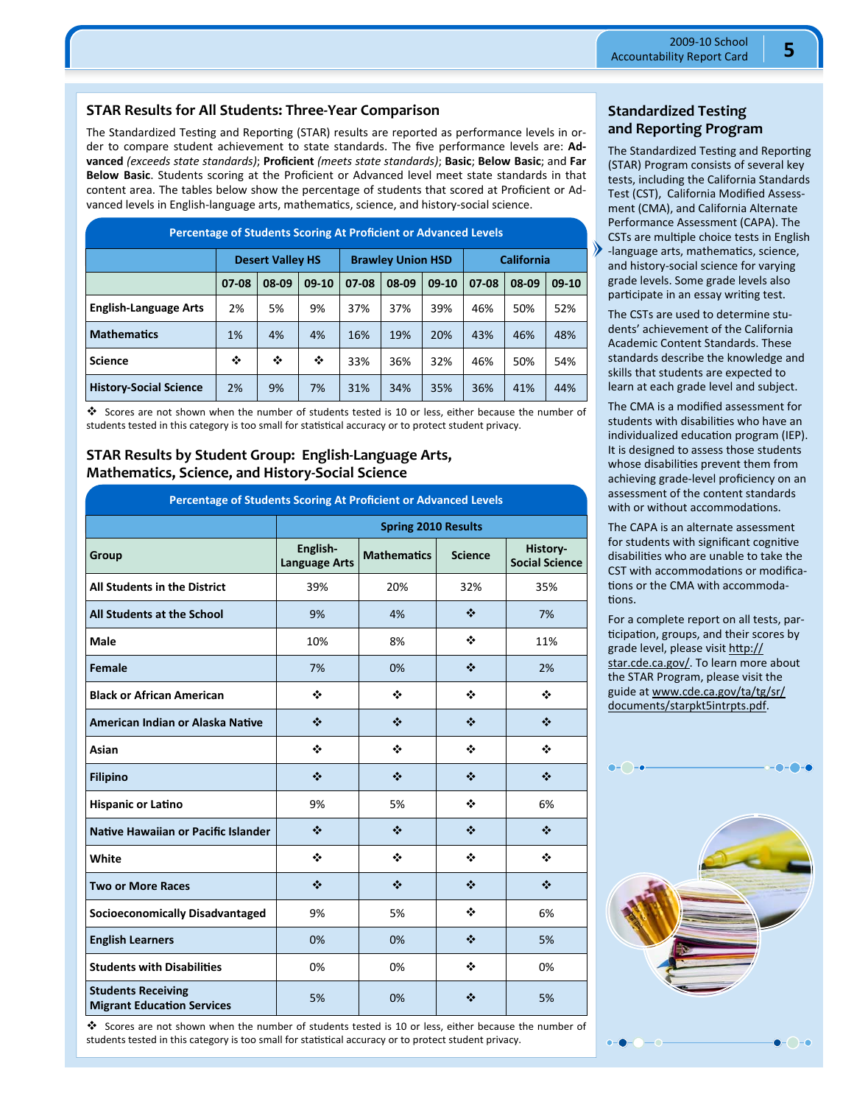## **STAR Results for All Students: Three‐Year Comparison**

The Standardized Testing and Reporting (STAR) results are reported as performance levels in order to compare student achievement to state standards. The five performance levels are: **Ad‐ vanced** *(exceeds state standards)*; **Proficient** *(meets state standards)*; **Basic**; **Below Basic**; and **Far Below Basic**. Students scoring at the Proficient or Advanced level meet state standards in that content area. The tables below show the percentage of students that scored at Proficient or Ad‐ vanced levels in English-language arts, mathematics, science, and history-social science.

| <b>Percentage of Students Scoring At Proficient or Advanced Levels</b> |       |                                                                          |         |       |       |         |       |       |         |
|------------------------------------------------------------------------|-------|--------------------------------------------------------------------------|---------|-------|-------|---------|-------|-------|---------|
|                                                                        |       | <b>California</b><br><b>Brawley Union HSD</b><br><b>Desert Valley HS</b> |         |       |       |         |       |       |         |
|                                                                        | 07-08 | 08-09                                                                    | $09-10$ | 07-08 | 08-09 | $09-10$ | 07-08 | 08-09 | $09-10$ |
| <b>English-Language Arts</b>                                           | 2%    | 5%                                                                       | 9%      | 37%   | 37%   | 39%     | 46%   | 50%   | 52%     |
| <b>Mathematics</b>                                                     | 1%    | 4%                                                                       | 4%      | 16%   | 19%   | 20%     | 43%   | 46%   | 48%     |
| <b>Science</b>                                                         | ❖     | ❖                                                                        | ❖       | 33%   | 36%   | 32%     | 46%   | 50%   | 54%     |
| <b>History-Social Science</b>                                          | 2%    | 9%                                                                       | 7%      | 31%   | 34%   | 35%     | 36%   | 41%   | 44%     |

 Scores are not shown when the number of students tested is 10 or less, either because the number of students tested in this category is too small for statistical accuracy or to protect student privacy.

#### **STAR Results by Student Group: English‐Language Arts, Mathematics, Science, and History‐Social Science**

| Percentage of Students Scoring At Proficient or Advanced Levels |                                  |                    |                |                                   |  |  |  |
|-----------------------------------------------------------------|----------------------------------|--------------------|----------------|-----------------------------------|--|--|--|
|                                                                 | <b>Spring 2010 Results</b>       |                    |                |                                   |  |  |  |
| Group                                                           | English-<br><b>Language Arts</b> | <b>Mathematics</b> | <b>Science</b> | History-<br><b>Social Science</b> |  |  |  |
| <b>All Students in the District</b>                             | 39%                              | 20%                | 32%            | 35%                               |  |  |  |
| <b>All Students at the School</b>                               | 9%                               | 4%                 | ❖              | 7%                                |  |  |  |
| <b>Male</b>                                                     | 10%                              | 8%                 | ❖              | 11%                               |  |  |  |
| Female                                                          | 7%                               | 0%                 | ❖              | 2%                                |  |  |  |
| <b>Black or African American</b>                                | ❖                                | ❖                  | ❖              | ❖                                 |  |  |  |
| American Indian or Alaska Native                                | ❖                                | ❖                  | ❖              | ❖                                 |  |  |  |
| Asian                                                           | ❖                                | ÷                  | ٠              | ٠                                 |  |  |  |
| <b>Filipino</b>                                                 | ❖                                | ❖                  | ❖              | ❖                                 |  |  |  |
| <b>Hispanic or Latino</b>                                       | 9%                               | 5%                 | ٠              | 6%                                |  |  |  |
| Native Hawaiian or Pacific Islander                             | ❖                                | ❖                  | ❖              | ❖                                 |  |  |  |
| White                                                           | ❖                                | ❖                  | ❖              | ❖                                 |  |  |  |
| <b>Two or More Races</b>                                        | ❖                                | ❖                  | ❖              | ❖                                 |  |  |  |
| <b>Socioeconomically Disadvantaged</b>                          | 9%                               | 5%                 | ❖              | 6%                                |  |  |  |
| <b>English Learners</b>                                         | 0%                               | 0%                 | ❖              | 5%                                |  |  |  |
| <b>Students with Disabilities</b>                               | 0%                               | 0%                 | ❖              | 0%                                |  |  |  |
| <b>Students Receiving</b><br><b>Migrant Education Services</b>  | 5%                               | 0%                 | ❖              | 5%                                |  |  |  |

**Standardized Testing and Reporting Program** 

The Standardized Testing and Reporting (STAR) Program consists of several key tests, including the California Standards Test (CST), California Modified Assess‐ ment (CMA), and California Alternate Performance Assessment (CAPA). The CSTs are multiple choice tests in English -language arts, mathematics, science, and history‐social science for varying grade levels. Some grade levels also participate in an essay writing test.

The CSTs are used to determine stu‐ dents' achievement of the California Academic Content Standards. These standards describe the knowledge and skills that students are expected to learn at each grade level and subject.

The CMA is a modified assessment for students with disabilities who have an individualized education program (IEP). It is designed to assess those students whose disabilities prevent them from achieving grade‐level proficiency on an assessment of the content standards with or without accommodations.

The CAPA is an alternate assessment for students with significant cognitive disabilities who are unable to take the CST with accommodations or modifications or the CMA with accommodations.

For a complete report on all tests, par‐ ticipation, groups, and their scores by grade level, please visit http:// star.cde.ca.gov/. To learn more about the STAR Program, please visit the guide at www.cde.ca.gov/ta/tg/sr/ documents/starpkt5intrpts.pdf.



 Scores are not shown when the number of students tested is 10 or less, either because the number of students tested in this category is too small for statistical accuracy or to protect student privacy.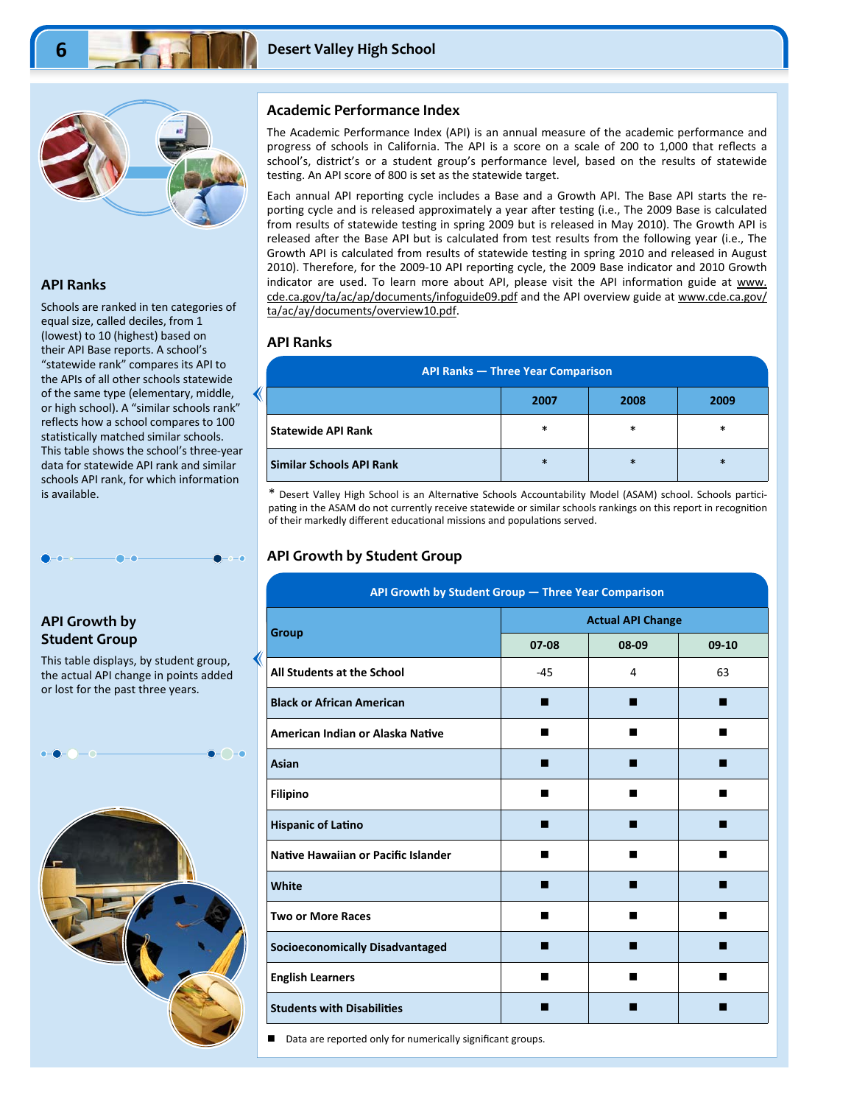

#### **API Ranks**

Schools are ranked in ten categories of equal size, called deciles, from 1 (lowest) to 10 (highest) based on their API Base reports. A school's "statewide rank" compares its API to the APIs of all other schools statewide of the same type (elementary, middle, or high school). A "similar schools rank" reflects how a school compares to 100 statistically matched similar schools. This table shows the school's three‐year data for statewide API rank and similar schools API rank, for which information is available.

## **API Growth by Student Group**

This table displays, by student group, the actual API change in points added or lost for the past three years.



#### **Academic Performance Index**

The Academic Performance Index (API) is an annual measure of the academic performance and progress of schools in California. The API is a score on a scale of 200 to 1,000 that reflects a school's, district's or a student group's performance level, based on the results of statewide testing. An API score of 800 is set as the statewide target.

Each annual API reporting cycle includes a Base and a Growth API. The Base API starts the reporting cycle and is released approximately a year after testing (i.e., The 2009 Base is calculated from results of statewide testing in spring 2009 but is released in May 2010). The Growth API is released after the Base API but is calculated from test results from the following year (i.e., The Growth API is calculated from results of statewide testing in spring 2010 and released in August 2010). Therefore, for the 2009-10 API reporting cycle, the 2009 Base indicator and 2010 Growth indicator are used. To learn more about API, please visit the API information guide at www. cde.ca.gov/ta/ac/ap/documents/infoguide09.pdf and the API overview guide at www.cde.ca.gov/ ta/ac/ay/documents/overview10.pdf.

#### **API Ranks**

| <b>API Ranks - Three Year Comparison</b> |        |        |        |  |  |  |
|------------------------------------------|--------|--------|--------|--|--|--|
| 2008<br>2009<br>2007                     |        |        |        |  |  |  |
| <b>Statewide API Rank</b>                | $\ast$ | $\ast$ | *      |  |  |  |
| Similar Schools API Rank                 | $\ast$ | $\ast$ | $\ast$ |  |  |  |

\* Desert Valley High School is an Alternative Schools Accountability Model (ASAM) school. Schools participating in the ASAM do not currently receive statewide or similar schools rankings on this report in recognition of their markedly different educational missions and populations served.

#### **API Growth by Student Group**

| API Growth by Student Group - Three Year Comparison |                          |       |         |  |  |  |
|-----------------------------------------------------|--------------------------|-------|---------|--|--|--|
|                                                     | <b>Actual API Change</b> |       |         |  |  |  |
| <b>Group</b>                                        | 07-08                    | 08-09 | $09-10$ |  |  |  |
| All Students at the School                          | $-45$                    | 4     | 63      |  |  |  |
| <b>Black or African American</b>                    | ш                        | ш     | ■       |  |  |  |
| American Indian or Alaska Native                    |                          | ■     |         |  |  |  |
| Asian                                               |                          |       |         |  |  |  |
| <b>Filipino</b>                                     |                          | ■     |         |  |  |  |
| <b>Hispanic of Latino</b>                           | ш                        | ■     |         |  |  |  |
| Native Hawaiian or Pacific Islander                 | ■                        | ■     |         |  |  |  |
| White                                               |                          |       |         |  |  |  |
| <b>Two or More Races</b>                            | ٠                        | ■     |         |  |  |  |
| <b>Socioeconomically Disadvantaged</b>              |                          | ٠     |         |  |  |  |
| <b>English Learners</b>                             | ٠                        | ▄     |         |  |  |  |
| <b>Students with Disabilities</b>                   |                          |       |         |  |  |  |
|                                                     |                          |       |         |  |  |  |

Data are reported only for numerically significant groups.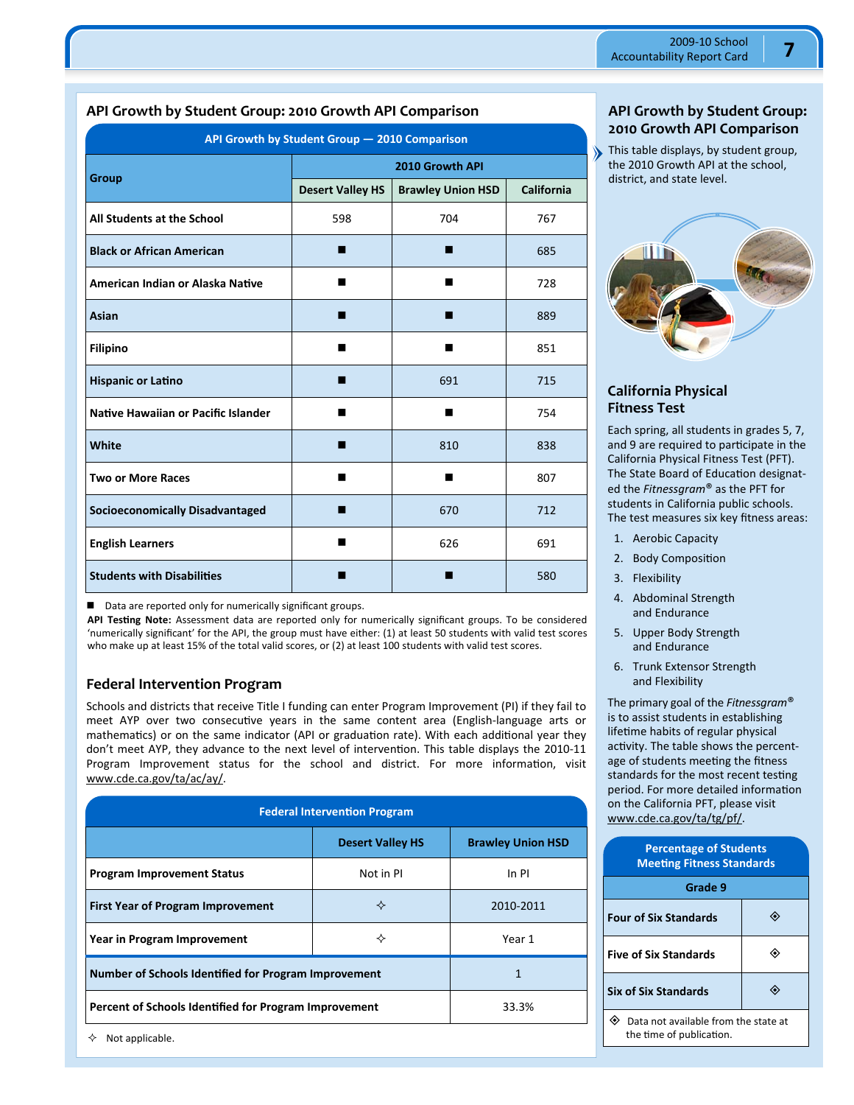## **API Growth by Student Group: 2010 Growth API Comparison**

| API Growth by Student Group - 2010 Comparison |                         |                          |            |  |  |  |
|-----------------------------------------------|-------------------------|--------------------------|------------|--|--|--|
| Group                                         | 2010 Growth API         |                          |            |  |  |  |
|                                               | <b>Desert Valley HS</b> | <b>Brawley Union HSD</b> | California |  |  |  |
| All Students at the School                    | 598                     | 704                      | 767        |  |  |  |
| <b>Black or African American</b>              | ш                       | ш                        | 685        |  |  |  |
| American Indian or Alaska Native              | ш                       | ■                        | 728        |  |  |  |
| Asian                                         | ш                       | ш                        | 889        |  |  |  |
| <b>Filipino</b>                               | ▬                       | ■                        | 851        |  |  |  |
| <b>Hispanic or Latino</b>                     | п                       | 691                      | 715        |  |  |  |
| Native Hawaiian or Pacific Islander           | ■                       | ■                        | 754        |  |  |  |
| White                                         | ш                       | 810                      | 838        |  |  |  |
| <b>Two or More Races</b>                      | ■                       | ■                        | 807        |  |  |  |
| <b>Socioeconomically Disadvantaged</b>        | п                       | 670                      | 712        |  |  |  |
| <b>English Learners</b>                       |                         | 626                      | 691        |  |  |  |
| <b>Students with Disabilities</b>             |                         |                          | 580        |  |  |  |

■ Data are reported only for numerically significant groups.

**API TesƟng Note:** Assessment data are reported only for numerically significant groups. To be considered 'numerically significant' for the API, the group must have either: (1) at least 50 students with valid test scores who make up at least 15% of the total valid scores, or (2) at least 100 students with valid test scores.

## **Federal Intervention Program**

Schools and districts that receive Title I funding can enter Program Improvement (PI) if they fail to meet AYP over two consecutive years in the same content area (English-language arts or mathematics) or on the same indicator (API or graduation rate). With each additional year they don't meet AYP, they advance to the next level of intervention. This table displays the 2010-11 Program Improvement status for the school and district. For more information, visit www.cde.ca.gov/ta/ac/ay/.

| <b>Federal Intervention Program</b>                   |       |  |  |  |  |  |
|-------------------------------------------------------|-------|--|--|--|--|--|
| <b>Brawley Union HSD</b><br><b>Desert Valley HS</b>   |       |  |  |  |  |  |
| Not in PI                                             | In PI |  |  |  |  |  |
| ✧<br><b>First Year of Program Improvement</b>         |       |  |  |  |  |  |
| ✧<br>Year in Program Improvement                      |       |  |  |  |  |  |
| Number of Schools Identified for Program Improvement  |       |  |  |  |  |  |
| Percent of Schools Identified for Program Improvement |       |  |  |  |  |  |
|                                                       |       |  |  |  |  |  |

**API Growth by Student Group: 2010 Growth API Comparison** 

This table displays, by student group, the 2010 Growth API at the school, district, and state level.

 $\lambda$ 



## **California Physical Fitness Test**

Each spring, all students in grades 5, 7, and 9 are required to participate in the California Physical Fitness Test (PFT). The State Board of Education designated the *Fitnessgram*® as the PFT for students in California public schools. The test measures six key fitness areas:

- 1. Aerobic Capacity
- 2. Body Composition
- 3. Flexibility
- 4. Abdominal Strength and Endurance
- 5. Upper Body Strength and Endurance
- 6. Trunk Extensor Strength and Flexibility

The primary goal of the *Fitnessgram*® is to assist students in establishing lifetime habits of regular physical activity. The table shows the percentage of students meeting the fitness standards for the most recent testing period. For more detailed information on the California PFT, please visit www.cde.ca.gov/ta/tg/pf/.

| <b>Percentage of Students</b><br><b>Meeting Fitness Standards</b> |  |  |  |  |  |
|-------------------------------------------------------------------|--|--|--|--|--|
| Grade 9                                                           |  |  |  |  |  |
| <b>Four of Six Standards</b>                                      |  |  |  |  |  |
| <b>Five of Six Standards</b>                                      |  |  |  |  |  |
| <b>Six of Six Standards</b>                                       |  |  |  |  |  |
|                                                                   |  |  |  |  |  |

 Data not available from the state at the time of publication.

 $\diamond$  Not applicable.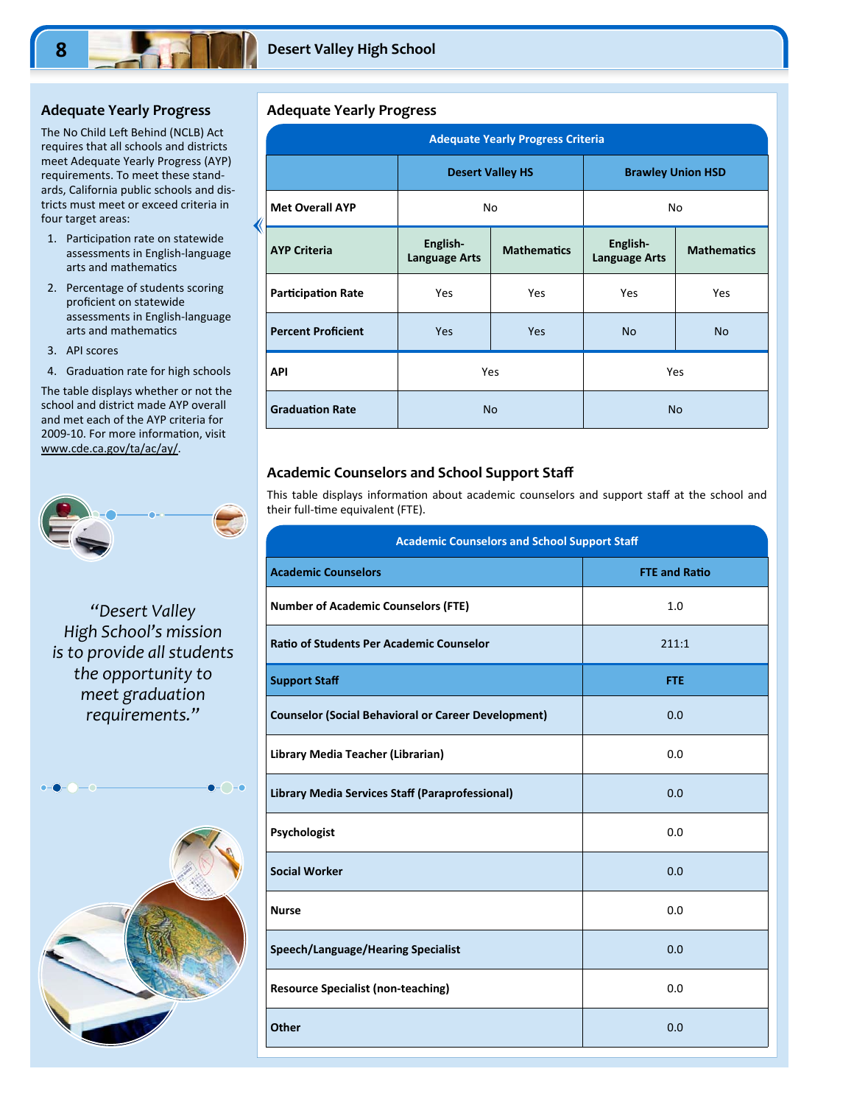#### **Adequate Yearly Progress**

The No Child Left Behind (NCLB) Act requires that all schools and districts meet Adequate Yearly Progress (AYP) requirements. To meet these stand‐ ards, California public schools and dis‐ tricts must meet or exceed criteria in four target areas:

- 1. Participation rate on statewide assessments in English‐language arts and mathematics
- 2. Percentage of students scoring proficient on statewide assessments in English‐language arts and mathematics
- 3. API scores
- 4. Graduation rate for high schools

The table displays whether or not the school and district made AYP overall and met each of the AYP criteria for 2009-10. For more information, visit www.cde.ca.gov/ta/ac/ay/.



## *"Desert Valley High School's mission is to provide all students the opportunity to meet graduation requirements."*



#### **Adequate Yearly Progress**

∢

| <b>Adequate Yearly Progress Criteria</b> |                                  |                                                        |                          |                    |  |  |  |
|------------------------------------------|----------------------------------|--------------------------------------------------------|--------------------------|--------------------|--|--|--|
|                                          | <b>Desert Valley HS</b>          |                                                        | <b>Brawley Union HSD</b> |                    |  |  |  |
| <b>Met Overall AYP</b>                   | No                               |                                                        | No                       |                    |  |  |  |
| <b>AYP Criteria</b>                      | English-<br><b>Language Arts</b> | English-<br><b>Mathematics</b><br><b>Language Arts</b> |                          | <b>Mathematics</b> |  |  |  |
| <b>Participation Rate</b>                | Yes                              | Yes                                                    | Yes                      | Yes                |  |  |  |
| <b>Percent Proficient</b>                | Yes                              | Yes                                                    | <b>No</b>                | <b>No</b>          |  |  |  |
| API                                      | <b>Yes</b>                       |                                                        |                          | Yes                |  |  |  |
| <b>Graduation Rate</b>                   | <b>No</b>                        |                                                        |                          | <b>No</b>          |  |  |  |

#### **Academic Counselors and School Support Staff**

This table displays information about academic counselors and support staff at the school and their full-time equivalent (FTE).

| <b>Academic Counselors and School Support Staff</b>        |                      |  |  |  |
|------------------------------------------------------------|----------------------|--|--|--|
| <b>Academic Counselors</b>                                 | <b>FTE and Ratio</b> |  |  |  |
| <b>Number of Academic Counselors (FTE)</b>                 | 1.0                  |  |  |  |
| <b>Ratio of Students Per Academic Counselor</b>            | 211:1                |  |  |  |
| <b>Support Staff</b>                                       | <b>FTE</b>           |  |  |  |
| <b>Counselor (Social Behavioral or Career Development)</b> | 0.0                  |  |  |  |
| Library Media Teacher (Librarian)                          | 0.0                  |  |  |  |
| Library Media Services Staff (Paraprofessional)            | 0.0                  |  |  |  |
| Psychologist                                               | 0.0                  |  |  |  |
| <b>Social Worker</b>                                       | 0.0                  |  |  |  |
| <b>Nurse</b>                                               | 0.0                  |  |  |  |
| <b>Speech/Language/Hearing Specialist</b>                  | 0.0                  |  |  |  |
| <b>Resource Specialist (non-teaching)</b>                  | 0.0                  |  |  |  |
| <b>Other</b>                                               | 0.0                  |  |  |  |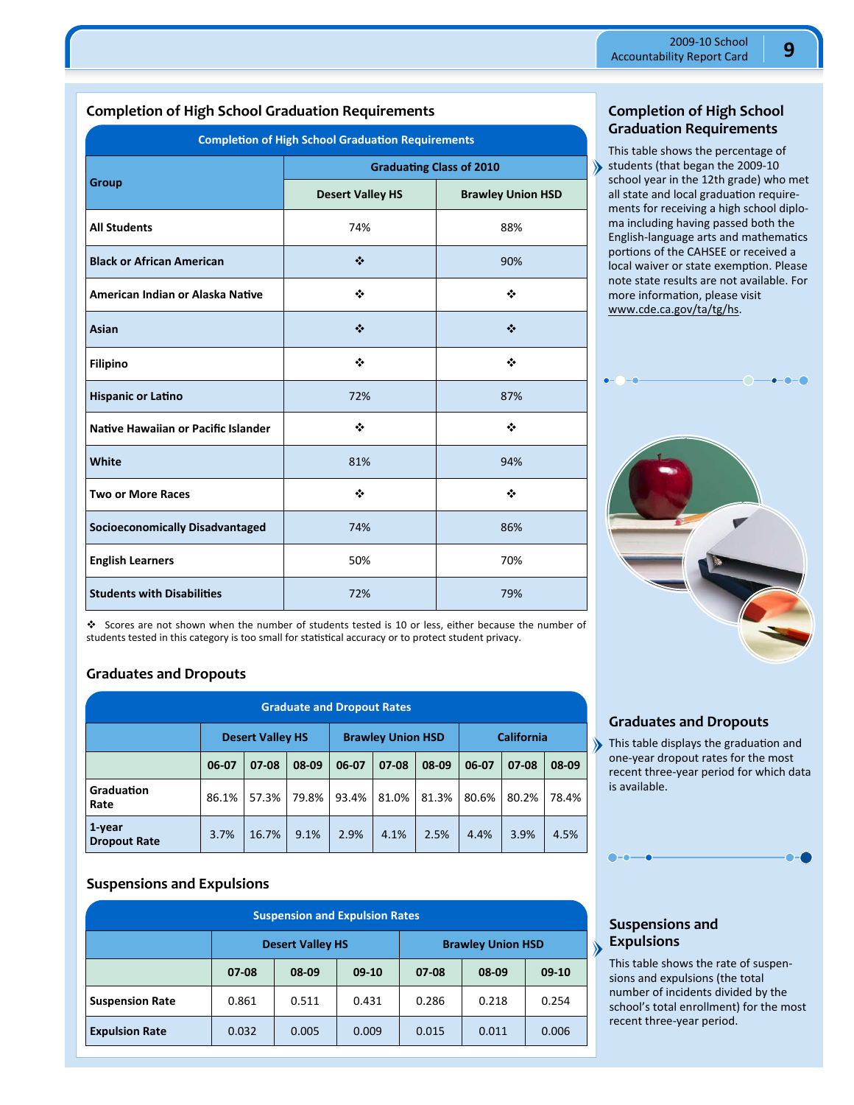## **Completion of High School Graduation Requirements**

| <b>Completion of High School Graduation Requirements</b> |                                 |                          |  |  |  |
|----------------------------------------------------------|---------------------------------|--------------------------|--|--|--|
|                                                          | <b>Graduating Class of 2010</b> |                          |  |  |  |
| Group                                                    | <b>Desert Valley HS</b>         | <b>Brawley Union HSD</b> |  |  |  |
| <b>All Students</b>                                      | 74%                             | 88%                      |  |  |  |
| <b>Black or African American</b>                         | ❖                               | 90%                      |  |  |  |
| American Indian or Alaska Native                         | ❖                               | ❖                        |  |  |  |
| Asian                                                    | ❖                               | ❖                        |  |  |  |
| <b>Filipino</b>                                          | ❖                               | ❖                        |  |  |  |
| <b>Hispanic or Latino</b>                                | 72%                             | 87%                      |  |  |  |
| Native Hawaiian or Pacific Islander                      | ❖                               | ❖                        |  |  |  |
| White                                                    | 81%                             | 94%                      |  |  |  |
| <b>Two or More Races</b>                                 | ❖                               | ❖                        |  |  |  |
| <b>Socioeconomically Disadvantaged</b>                   | 74%                             | 86%                      |  |  |  |
| <b>English Learners</b>                                  | 50%                             | 70%                      |  |  |  |
| <b>Students with Disabilities</b>                        | 72%                             | 79%                      |  |  |  |

**Completion of High School Graduation Requirements** 

This table shows the percentage of students (that began the 2009-10 school year in the 12th grade) who met all state and local graduation requirements for receiving a high school diplo‐ ma including having passed both the English-language arts and mathematics portions of the CAHSEE or received a local waiver or state exemption. Please note state results are not available. For more information, please visit www.cde.ca.gov/ta/tg/hs.



 Scores are not shown when the number of students tested is 10 or less, either because the number of students tested in this category is too small for statistical accuracy or to protect student privacy.

## **Graduates and Dropouts**

| <b>Graduate and Dropout Rates</b> |                                                                          |       |       |       |       |       |       |       |       |
|-----------------------------------|--------------------------------------------------------------------------|-------|-------|-------|-------|-------|-------|-------|-------|
|                                   | <b>California</b><br><b>Brawley Union HSD</b><br><b>Desert Valley HS</b> |       |       |       |       |       |       |       |       |
|                                   | 06-07                                                                    | 07-08 | 08-09 | 06-07 | 07-08 | 08-09 | 06-07 | 07-08 | 08-09 |
| Graduation<br>Rate                | 86.1%                                                                    | 57.3% | 79.8% | 93.4% | 81.0% | 81.3% | 80.6% | 80.2% | 78.4% |
| 1-year<br><b>Dropout Rate</b>     | 3.7%                                                                     | 16.7% | 9.1%  | 2.9%  | 4.1%  | 2.5%  | 4.4%  | 3.9%  | 4.5%  |

## **Suspensions and Expulsions**

| <b>Suspension and Expulsion Rates</b>                                       |                                                     |       |       |       |       |         |  |
|-----------------------------------------------------------------------------|-----------------------------------------------------|-------|-------|-------|-------|---------|--|
|                                                                             | <b>Brawley Union HSD</b><br><b>Desert Valley HS</b> |       |       |       |       |         |  |
|                                                                             | 08-09<br>$09-10$<br>$07 - 08$<br>08-09<br>$07 - 08$ |       |       |       |       | $09-10$ |  |
| <b>Suspension Rate</b>                                                      | 0.861                                               | 0.511 | 0.431 | 0.286 | 0.218 | 0.254   |  |
| <b>Expulsion Rate</b><br>0.005<br>0.032<br>0.009<br>0.011<br>0.006<br>0.015 |                                                     |       |       |       |       |         |  |

## **Graduates and Dropouts**

This table displays the graduation and one‐year dropout rates for the most recent three‐year period for which data is available.



## **Suspensions and Expulsions**

∖

This table shows the rate of suspen‐ sions and expulsions (the total number of incidents divided by the school's total enrollment) for the most recent three‐year period.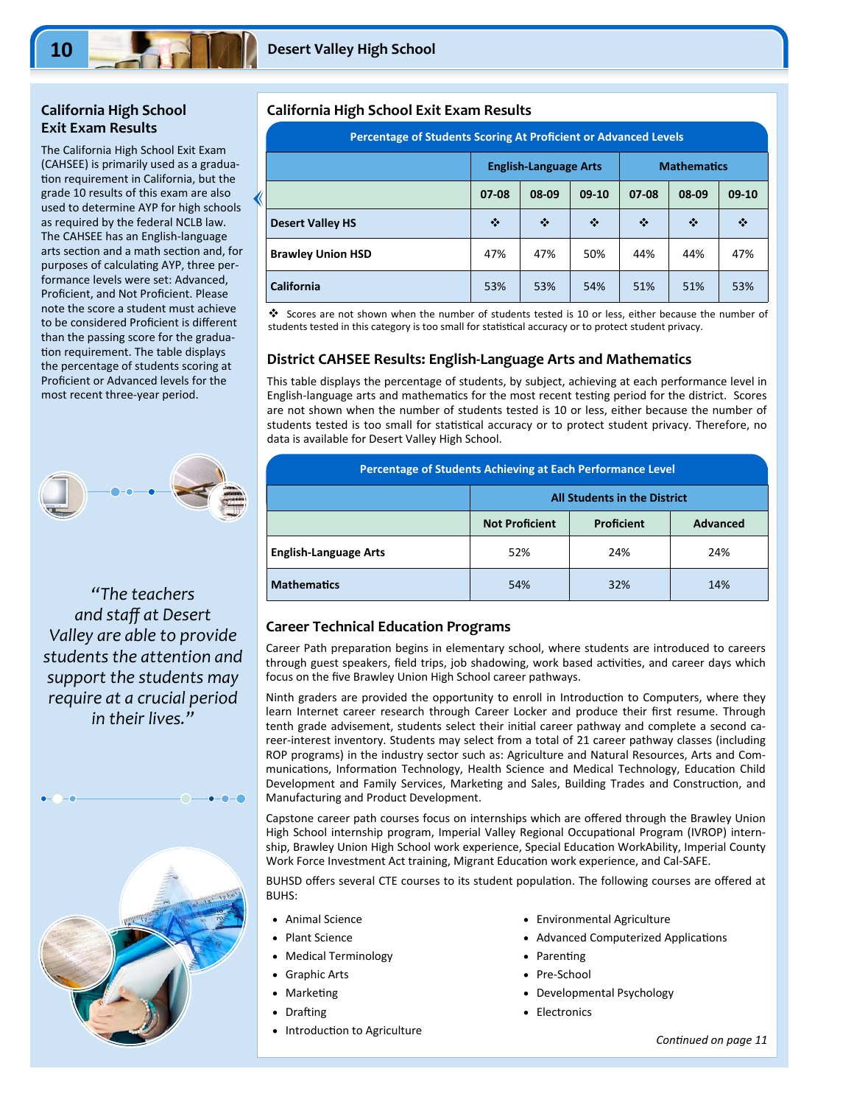## **California High School Exit Exam Results**

The California High School Exit Exam (CAHSEE) is primarily used as a gradua‐ tion requirement in California, but the grade 10 results of this exam are also used to determine AYP for high schools as required by the federal NCLB law. The CAHSEE has an English‐language arts section and a math section and, for purposes of calculating AYP, three performance levels were set: Advanced, Proficient, and Not Proficient. Please note the score a student must achieve to be considered Proficient is different than the passing score for the gradua‐ tion requirement. The table displays the percentage of students scoring at Proficient or Advanced levels for the most recent three‐year period.



*"The teachers and staff at Desert Valley are able to provide students the attention and support the students may require at a crucial period in their lives."* 



#### **California High School Exit Exam Results**

| Percentage of Students Scoring At Proficient or Advanced Levels |                                                    |     |     |     |     |         |
|-----------------------------------------------------------------|----------------------------------------------------|-----|-----|-----|-----|---------|
|                                                                 | <b>Mathematics</b><br><b>English-Language Arts</b> |     |     |     |     |         |
|                                                                 | 08-09<br>08-09<br>07-08<br>$09-10$<br>07-08        |     |     |     |     | $09-10$ |
| <b>Desert Valley HS</b>                                         | ❖                                                  | ❖   | ❖   | ❖   | ❖   | ❖       |
| <b>Brawley Union HSD</b>                                        | 47%                                                | 47% | 50% | 44% | 44% | 47%     |
| <b>California</b>                                               | 53%                                                | 53% | 54% | 51% | 51% | 53%     |

 Scores are not shown when the number of students tested is 10 or less, either because the number of students tested in this category is too small for statistical accuracy or to protect student privacy.

#### **District CAHSEE Results: English‐Language Arts and Mathematics**

This table displays the percentage of students, by subject, achieving at each performance level in English-language arts and mathematics for the most recent testing period for the district. Scores are not shown when the number of students tested is 10 or less, either because the number of students tested is too small for statistical accuracy or to protect student privacy. Therefore, no data is available for Desert Valley High School.

| Percentage of Students Achieving at Each Performance Level |                                                               |     |     |  |  |  |
|------------------------------------------------------------|---------------------------------------------------------------|-----|-----|--|--|--|
| <b>All Students in the District</b>                        |                                                               |     |     |  |  |  |
|                                                            | <b>Not Proficient</b><br><b>Proficient</b><br><b>Advanced</b> |     |     |  |  |  |
| <b>English-Language Arts</b>                               | 52%                                                           | 24% | 24% |  |  |  |
| <b>Mathematics</b>                                         | 32%<br>14%<br>54%                                             |     |     |  |  |  |

#### **Career Technical Education Programs**

Career Path preparation begins in elementary school, where students are introduced to careers through guest speakers, field trips, job shadowing, work based activities, and career days which focus on the five Brawley Union High School career pathways.

Ninth graders are provided the opportunity to enroll in Introduction to Computers, where they learn Internet career research through Career Locker and produce their first resume. Through tenth grade advisement, students select their initial career pathway and complete a second career-interest inventory. Students may select from a total of 21 career pathway classes (including ROP programs) in the industry sector such as: Agriculture and Natural Resources, Arts and Com‐ munications, Information Technology, Health Science and Medical Technology, Education Child Development and Family Services, Marketing and Sales, Building Trades and Construction, and Manufacturing and Product Development.

Capstone career path courses focus on internships which are offered through the Brawley Union High School internship program, Imperial Valley Regional Occupational Program (IVROP) internship, Brawley Union High School work experience, Special Education WorkAbility, Imperial County Work Force Investment Act training, Migrant Education work experience, and Cal-SAFE.

BUHSD offers several CTE courses to its student population. The following courses are offered at BUHS:

- Animal Science
- Plant Science
- Medical Terminology
- Graphic Arts
- **Marketing**
- Drafting
- Introduction to Agriculture
- Environmental Agriculture
- Advanced Computerized Applications
- Parenting
- Pre‐School
- Developmental Psychology
- Electronics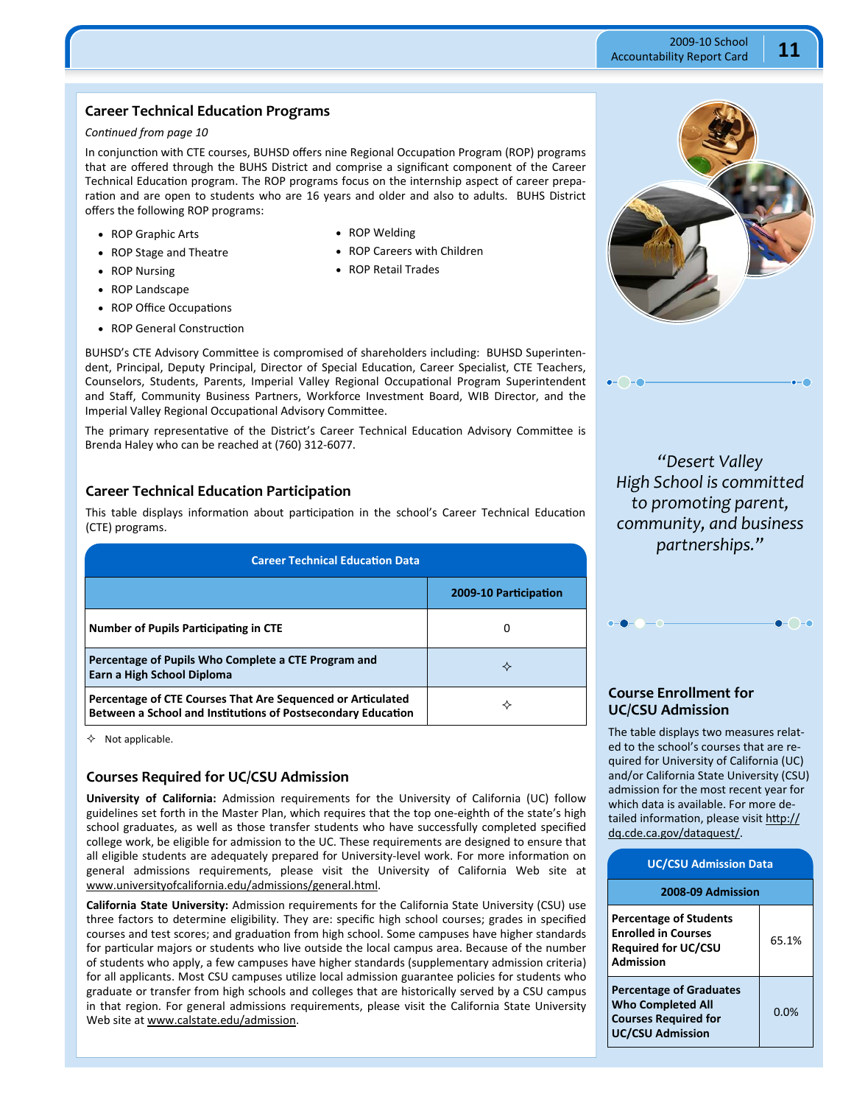## **Career Technical Education Programs**

#### *ConƟnued from page 10*

In conjunction with CTE courses, BUHSD offers nine Regional Occupation Program (ROP) programs that are offered through the BUHS District and comprise a significant component of the Career Technical Education program. The ROP programs focus on the internship aspect of career preparation and are open to students who are 16 years and older and also to adults. BUHS District offers the following ROP programs:

- ROP Graphic Arts
- ROP Stage and Theatre
- ROP Welding
- ROP Careers with Children

• ROP Nursing

ROP Retail Trades

- ROP Landscape
- ROP Office Occupations
- ROP General Construction

BUHSD's CTE Advisory Committee is compromised of shareholders including: BUHSD Superintendent, Principal, Deputy Principal, Director of Special Education, Career Specialist, CTE Teachers, Counselors, Students, Parents, Imperial Valley Regional Occupational Program Superintendent and Staff, Community Business Partners, Workforce Investment Board, WIB Director, and the Imperial Valley Regional Occupational Advisory Committee.

The primary representative of the District's Career Technical Education Advisory Committee is Brenda Haley who can be reached at (760) 312‐6077.

#### **Career Technical Education Participation**

This table displays information about participation in the school's Career Technical Education (CTE) programs.

| <b>Career Technical Education Data</b>                                                                                      |                       |  |  |  |
|-----------------------------------------------------------------------------------------------------------------------------|-----------------------|--|--|--|
|                                                                                                                             | 2009-10 Participation |  |  |  |
| Number of Pupils Participating in CTE                                                                                       | 0                     |  |  |  |
| Percentage of Pupils Who Complete a CTE Program and<br>Earn a High School Diploma                                           | ✧                     |  |  |  |
| Percentage of CTE Courses That Are Sequenced or Articulated<br>Between a School and Institutions of Postsecondary Education | ✧                     |  |  |  |

 $\lozenge$  Not applicable.

#### **Courses Required for UC/CSU Admission**

**University of California:** Admission requirements for the University of California (UC) follow guidelines set forth in the Master Plan, which requires that the top one‐eighth of the state's high school graduates, as well as those transfer students who have successfully completed specified college work, be eligible for admission to the UC. These requirements are designed to ensure that all eligible students are adequately prepared for University-level work. For more information on general admissions requirements, please visit the University of California Web site at www.universityofcalifornia.edu/admissions/general.html.

**California State University:** Admission requirements for the California State University (CSU) use three factors to determine eligibility. They are: specific high school courses; grades in specified courses and test scores; and graduation from high school. Some campuses have higher standards for particular majors or students who live outside the local campus area. Because of the number of students who apply, a few campuses have higher standards (supplementary admission criteria) for all applicants. Most CSU campuses utilize local admission guarantee policies for students who graduate or transfer from high schools and colleges that are historically served by a CSU campus in that region. For general admissions requirements, please visit the California State University Web site at www.calstate.edu/admission.



*"Desert Valley High School is committed to promoting parent, community, and business partnerships."* 

 $\bigcap_{\mathsf{C}}$ 

## **Course Enrollment for UC/CSU Admission**

The table displays two measures relat‐ ed to the school's courses that are re‐ quired for University of California (UC) and/or California State University (CSU) admission for the most recent year for which data is available. For more de‐ tailed information, please visit http:// dq.cde.ca.gov/dataquest/.

| <b>UC/CSU Admission Data</b>                                                                                         |       |  |  |  |
|----------------------------------------------------------------------------------------------------------------------|-------|--|--|--|
| 2008-09 Admission                                                                                                    |       |  |  |  |
| <b>Percentage of Students</b><br><b>Enrolled in Courses</b><br><b>Required for UC/CSU</b><br>Admission               | 65.1% |  |  |  |
| <b>Percentage of Graduates</b><br><b>Who Completed All</b><br><b>Courses Required for</b><br><b>UC/CSU Admission</b> | 0.0%  |  |  |  |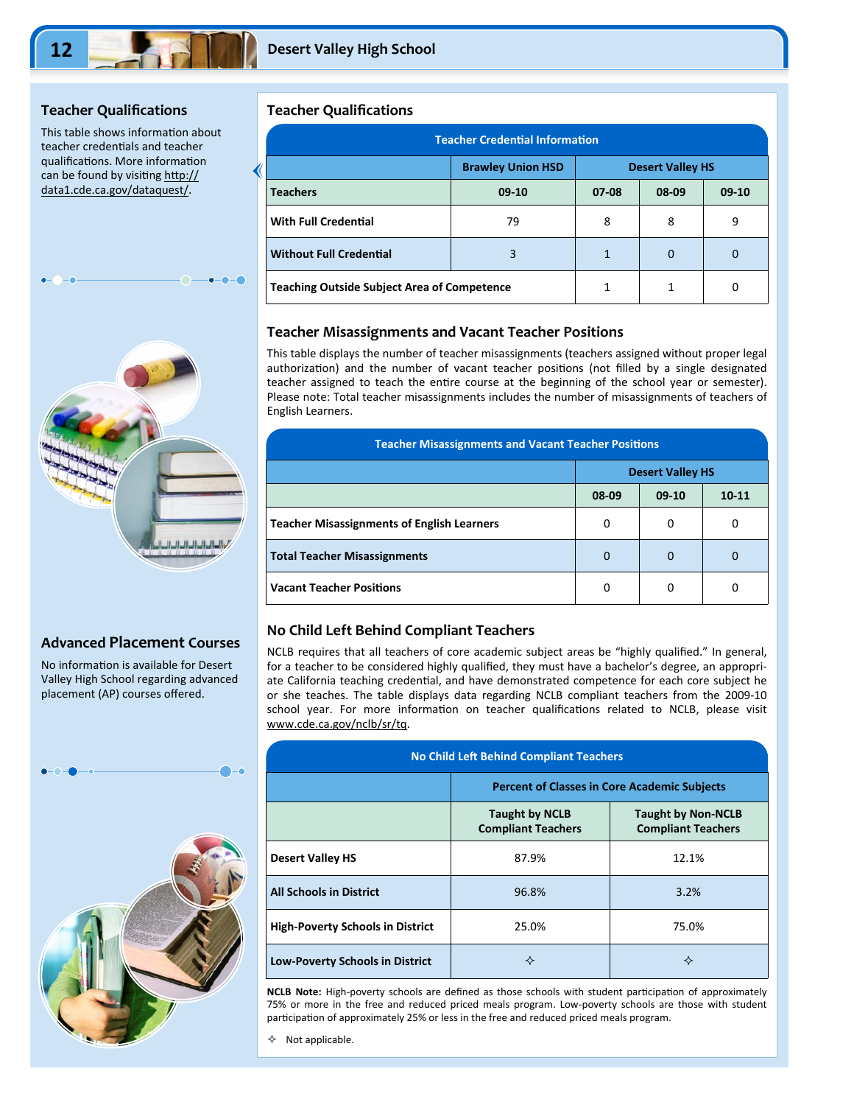## **Teacher Qualifications**

This table shows information about teacher credentials and teacher qualifications. More information can be found by visiting http:// data1.cde.ca.gov/dataquest/.



## **Advanced Placement Courses**

No information is available for Desert Valley High School regarding advanced placement (AP) courses offered.



#### **Teacher Qualifications**

| <b>Teacher Credential Information</b>              |                                                     |              |       |         |  |  |
|----------------------------------------------------|-----------------------------------------------------|--------------|-------|---------|--|--|
|                                                    | <b>Brawley Union HSD</b><br><b>Desert Valley HS</b> |              |       |         |  |  |
| <b>Teachers</b>                                    | $09-10$                                             | $07 - 08$    | 08-09 | $09-10$ |  |  |
| <b>With Full Credential</b>                        | 79                                                  | 8            | 8     | 9       |  |  |
| <b>Without Full Credential</b>                     | 3                                                   | $\mathbf{1}$ | 0     | 0       |  |  |
| <b>Teaching Outside Subject Area of Competence</b> | 1                                                   |              | 0     |         |  |  |

#### **Teacher Misassignments and Vacant Teacher Positions**

This table displays the number of teacher misassignments (teachers assigned without proper legal authorization) and the number of vacant teacher positions (not filled by a single designated teacher assigned to teach the entire course at the beginning of the school year or semester). Please note: Total teacher misassignments includes the number of misassignments of teachers of English Learners.

| <b>Teacher Misassignments and Vacant Teacher Positions</b> |                         |         |           |  |
|------------------------------------------------------------|-------------------------|---------|-----------|--|
|                                                            | <b>Desert Valley HS</b> |         |           |  |
|                                                            | 08-09                   | $09-10$ | $10 - 11$ |  |
| <b>Teacher Misassignments of English Learners</b>          | 0                       | 0       |           |  |
| <b>Total Teacher Misassignments</b>                        | $\mathbf 0$             | 0       |           |  |
| <b>Vacant Teacher Positions</b>                            | 0                       | 0       |           |  |

#### **No Child Left Behind Compliant Teachers**

NCLB requires that all teachers of core academic subject areas be "highly qualified." In general, for a teacher to be considered highly qualified, they must have a bachelor's degree, an appropriate California teaching credential, and have demonstrated competence for each core subject he or she teaches. The table displays data regarding NCLB compliant teachers from the 2009‐10 school year. For more information on teacher qualifications related to NCLB, please visit www.cde.ca.gov/nclb/sr/tq.

| <b>No Child Left Behind Compliant Teachers</b> |                                                     |                                                        |  |  |  |  |
|------------------------------------------------|-----------------------------------------------------|--------------------------------------------------------|--|--|--|--|
|                                                | <b>Percent of Classes in Core Academic Subjects</b> |                                                        |  |  |  |  |
|                                                | <b>Taught by NCLB</b><br><b>Compliant Teachers</b>  | <b>Taught by Non-NCLB</b><br><b>Compliant Teachers</b> |  |  |  |  |
| <b>Desert Valley HS</b>                        | 87.9%                                               | 12.1%                                                  |  |  |  |  |
| <b>All Schools in District</b>                 | 96.8%                                               | 3.2%                                                   |  |  |  |  |
| <b>High-Poverty Schools in District</b>        | 25.0%                                               | 75.0%                                                  |  |  |  |  |
| <b>Low-Poverty Schools in District</b>         | ✧                                                   | ✧                                                      |  |  |  |  |

**NCLB Note:** High-poverty schools are defined as those schools with student participation of approximately 75% or more in the free and reduced priced meals program. Low‐poverty schools are those with student participation of approximately 25% or less in the free and reduced priced meals program.

 $\lozenge$  Not applicable.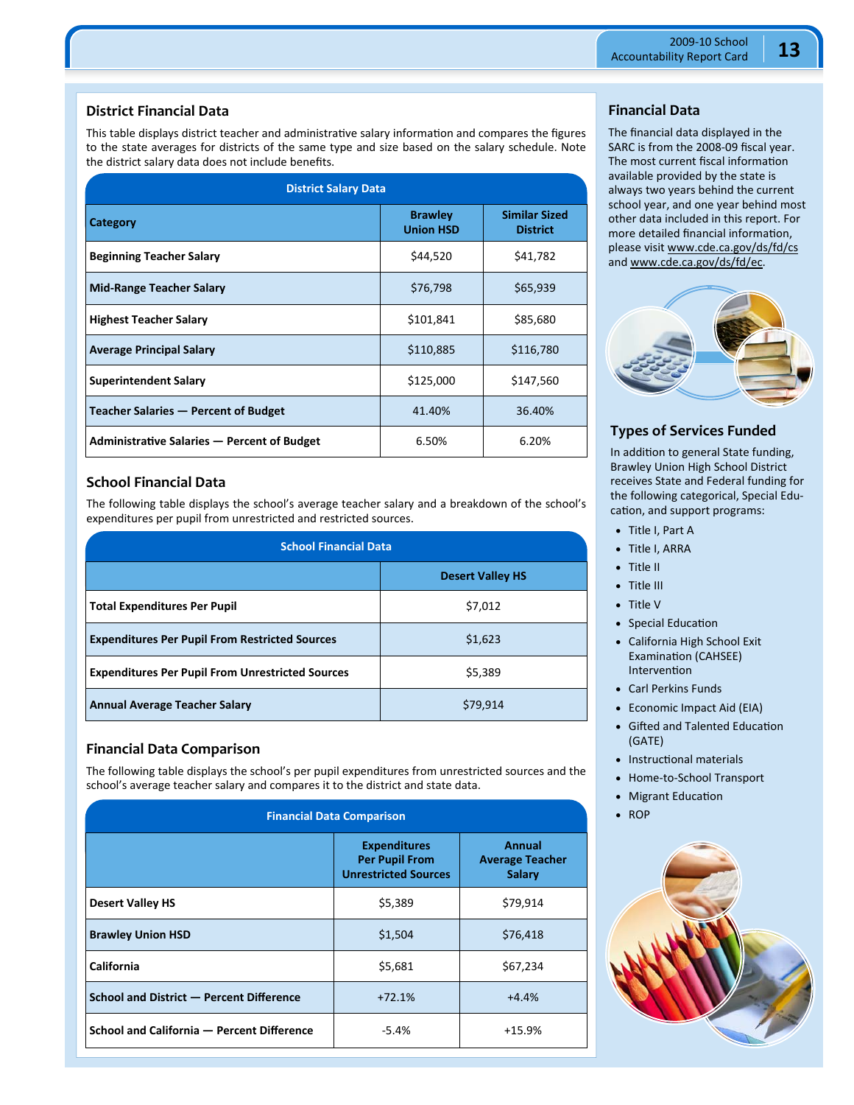## **District Financial Data**

This table displays district teacher and administrative salary information and compares the figures to the state averages for districts of the same type and size based on the salary schedule. Note the district salary data does not include benefits.

| <b>District Salary Data</b>                 |                                    |                                         |  |  |  |  |
|---------------------------------------------|------------------------------------|-----------------------------------------|--|--|--|--|
| Category                                    | <b>Brawley</b><br><b>Union HSD</b> | <b>Similar Sized</b><br><b>District</b> |  |  |  |  |
| <b>Beginning Teacher Salary</b>             | \$44,520                           | \$41,782                                |  |  |  |  |
| <b>Mid-Range Teacher Salary</b>             | \$76,798                           | \$65,939                                |  |  |  |  |
| <b>Highest Teacher Salary</b>               | \$101,841                          | \$85,680                                |  |  |  |  |
| <b>Average Principal Salary</b>             | \$110,885                          | \$116,780                               |  |  |  |  |
| <b>Superintendent Salary</b>                | \$125,000                          | \$147,560                               |  |  |  |  |
| Teacher Salaries - Percent of Budget        | 41.40%                             | 36.40%                                  |  |  |  |  |
| Administrative Salaries - Percent of Budget | 6.50%                              | 6.20%                                   |  |  |  |  |

## **School Financial Data**

The following table displays the school's average teacher salary and a breakdown of the school's expenditures per pupil from unrestricted and restricted sources.

| <b>School Financial Data</b>                            |                         |  |
|---------------------------------------------------------|-------------------------|--|
|                                                         | <b>Desert Valley HS</b> |  |
| <b>Total Expenditures Per Pupil</b>                     | \$7,012                 |  |
| <b>Expenditures Per Pupil From Restricted Sources</b>   | \$1,623                 |  |
| <b>Expenditures Per Pupil From Unrestricted Sources</b> | \$5,389                 |  |
| <b>Annual Average Teacher Salary</b>                    | \$79,914                |  |

## **Financial Data Comparison**

The following table displays the school's per pupil expenditures from unrestricted sources and the school's average teacher salary and compares it to the district and state data.

| <b>Financial Data Comparison</b>           |                                                                             |                                                          |
|--------------------------------------------|-----------------------------------------------------------------------------|----------------------------------------------------------|
|                                            | <b>Expenditures</b><br><b>Per Pupil From</b><br><b>Unrestricted Sources</b> | <b>Annual</b><br><b>Average Teacher</b><br><b>Salary</b> |
| <b>Desert Valley HS</b>                    | \$5,389                                                                     | \$79,914                                                 |
| <b>Brawley Union HSD</b>                   | \$1,504                                                                     | \$76,418                                                 |
| California                                 | \$5,681                                                                     | \$67,234                                                 |
| School and District - Percent Difference   | $+72.1%$                                                                    | $+4.4%$                                                  |
| School and California - Percent Difference | $-5.4%$                                                                     | $+15.9%$                                                 |

## **Financial Data**

The financial data displayed in the SARC is from the 2008‐09 fiscal year. The most current fiscal information available provided by the state is always two years behind the current school year, and one year behind most other data included in this report. For more detailed financial information, please visit www.cde.ca.gov/ds/fd/cs and www.cde.ca.gov/ds/fd/ec.



## **Types of Services Funded**

In addition to general State funding, Brawley Union High School District receives State and Federal funding for the following categorical, Special Edu‐ cation, and support programs:

- Title I, Part A
- Title I, ARRA
- Title II
- Title III
- Title V
- Special Education
- California High School Exit Examination (CAHSEE) **Intervention**
- Carl Perkins Funds
- Economic Impact Aid (EIA)
- Gifted and Talented Education (GATE)
- Instructional materials
- Home-to-School Transport
- Migrant Education
- $\cdot$  ROP